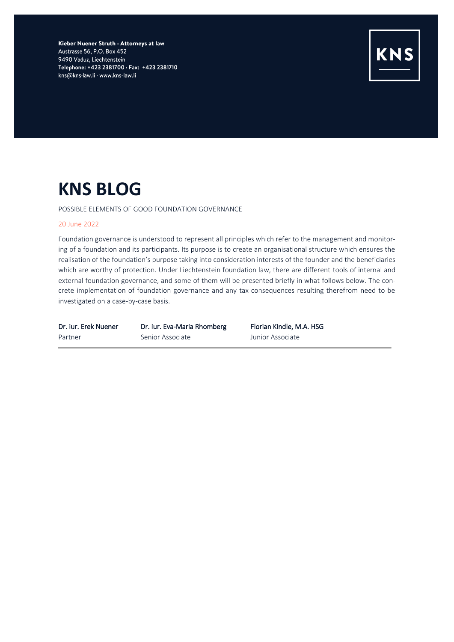Kieber Nuener Struth - Attorneys at law Austrasse 56, P.O. Box 452 9490 Vaduz, Liechtenstein Telephone: +423 2381700 · Fax: +423 2381710 kns@kns-law.li · www.kns-law.li



# **KNS BLOG**

POSSIBLE ELEMENTS OF GOOD FOUNDATION GOVERNANCE

### 20 June 2022

Foundation governance is understood to represent all principles which refer to the management and monitoring of a foundation and its participants. Its purpose is to create an organisational structure which ensures the realisation of the foundation's purpose taking into consideration interests of the founder and the beneficiaries which are worthy of protection. Under Liechtenstein foundation law, there are different tools of internal and external foundation governance, and some of them will be presented briefly in what follows below. The concrete implementation of foundation governance and any tax consequences resulting therefrom need to be investigated on a case-by-case basis.

Partner Senior Associate Martner Senior Associate

Dr. iur. Erek Nuener Dr. iur. Eva-Maria Rhomberg Florian Kindle, M.A. HSG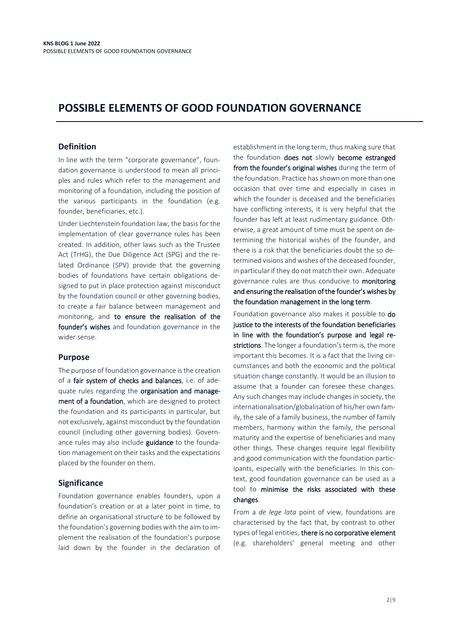## **POSSIBLE ELEMENTS OF GOOD FOUNDATION GOVERNANCE**

## **Definition**

In line with the term "corporate governance", foundation governance is understood to mean all principles and rules which refer to the management and monitoring of a foundation, including the position of the various participants in the foundation (e.g. founder, beneficiaries, etc.).

Under Liechtenstein foundation law, the basis for the implementation of clear governance rules has been created. In addition, other laws such as the Trustee Act (TrHG), the Due Diligence Act (SPG) and the related Ordinance (SPV) provide that the governing bodies of foundations have certain obligations designed to put in place protection against misconduct by the foundation council or other governing bodies, to create a fair balance between management and monitoring, and to ensure the realisation of the founder's wishes and foundation governance in the wider sense.

## **Purpose**

The purpose of foundation governance is the creation of a fair system of checks and balances, i.e. of adequate rules regarding the organisation and management of a foundation, which are designed to protect the foundation and its participants in particular, but not exclusively, against misconduct by the foundation council (including other governing bodies). Governance rules may also include guidance to the foundation management on their tasks and the expectations placed by the founder on them.

## **Significance**

Foundation governance enables founders, upon a foundation's creation or at a later point in time, to define an organisational structure to be followed by the foundation's governing bodies with the aim to implement the realisation of the foundation's purpose laid down by the founder in the declaration of establishment in the long term, thus making sure that the foundation does not slowly become estranged from the founder's original wishes during the term of the foundation. Practice has shown on more than one occasion that over time and especially in cases in which the founder is deceased and the beneficiaries have conflicting interests, it is very helpful that the founder has left at least rudimentary guidance. Otherwise, a great amount of time must be spent on determining the historical wishes of the founder, and there is a risk that the beneficiaries doubt the so determined visions and wishes of the deceased founder, in particular if they do not match their own. Adequate governance rules are thus conducive to monitoring and ensuring the realisation of the founder's wishes by the foundation management in the long term.

Foundation governance also makes it possible to do justice to the interests of the foundation beneficiaries in line with the foundation's purpose and legal restrictions. The longer a foundation's term is, the more important this becomes. It is a fact that the living circumstances and both the economic and the political situation change constantly. It would be an illusion to assume that a founder can foresee these changes. Any such changes may include changes in society, the internationalisation/globalisation of his/her own family, the sale of a family business, the number of family members, harmony within the family, the personal maturity and the expertise of beneficiaries and many other things. These changes require legal flexibility and good communication with the foundation participants, especially with the beneficiaries. In this context, good foundation governance can be used as a tool to minimise the risks associated with these changes.

From a *de lege lata* point of view, foundations are characterised by the fact that, by contrast to other types of legal entities, there is no corporative element (e.g. shareholders' general meeting and other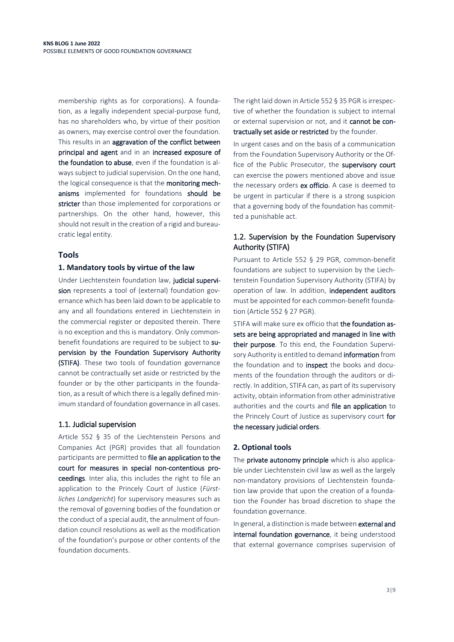membership rights as for corporations). A foundation, as a legally independent special-purpose fund, has no shareholders who, by virtue of their position as owners, may exercise control over the foundation. This results in an aggravation of the conflict between principal and agent and in an increased exposure of the foundation to abuse, even if the foundation is always subject to judicial supervision. On the one hand, the logical consequence is that the monitoring mechanisms implemented for foundations should be stricter than those implemented for corporations or partnerships. On the other hand, however, this should not result in the creation of a rigid and bureaucratic legal entity.

## **Tools**

## **1. Mandatory tools by virtue of the law**

Under Liechtenstein foundation law, judicial supervision represents a tool of (external) foundation governance which has been laid down to be applicable to any and all foundations entered in Liechtenstein in the commercial register or deposited therein. There is no exception and this is mandatory. Only commonbenefit foundations are required to be subject to supervision by the Foundation Supervisory Authority (STIFA). These two tools of foundation governance cannot be contractually set aside or restricted by the founder or by the other participants in the foundation, as a result of which there is a legally defined minimum standard of foundation governance in all cases.

## 1.1. Judicial supervision

Article 552 § 35 of the Liechtenstein Persons and Companies Act (PGR) provides that all foundation participants are permitted to file an application to the court for measures in special non-contentious proceedings. Inter alia, this includes the right to file an application to the Princely Court of Justice (*Fürstliches Landgericht*) for supervisory measures such as the removal of governing bodies of the foundation or the conduct of a special audit, the annulment of foundation council resolutions as well as the modification of the foundation's purpose or other contents of the foundation documents.

The right laid down in Article 552 § 35 PGR is irrespective of whether the foundation is subject to internal or external supervision or not, and it cannot be contractually set aside or restricted by the founder.

In urgent cases and on the basis of a communication from the Foundation Supervisory Authority or the Office of the Public Prosecutor, the supervisory court can exercise the powers mentioned above and issue the necessary orders ex officio. A case is deemed to be urgent in particular if there is a strong suspicion that a governing body of the foundation has committed a punishable act.

## 1.2. Supervision by the Foundation Supervisory Authority (STIFA)

Pursuant to Article 552 § 29 PGR, common-benefit foundations are subject to supervision by the Liechtenstein Foundation Supervisory Authority (STIFA) by operation of law. In addition, independent auditors must be appointed for each common-benefit foundation (Article 552 § 27 PGR).

STIFA will make sure ex officio that the foundation assets are being appropriated and managed in line with their purpose. To this end, the Foundation Supervisory Authority is entitled to demand information from the foundation and to inspect the books and documents of the foundation through the auditors or directly. In addition, STIFA can, as part of its supervisory activity, obtain information from other administrative authorities and the courts and file an application to the Princely Court of Justice as supervisory court for the necessary judicial orders.

#### **2. Optional tools**

The private autonomy principle which is also applicable under Liechtenstein civil law as well as the largely non-mandatory provisions of Liechtenstein foundation law provide that upon the creation of a foundation the Founder has broad discretion to shape the foundation governance.

In general, a distinction is made between external and internal foundation governance, it being understood that external governance comprises supervision of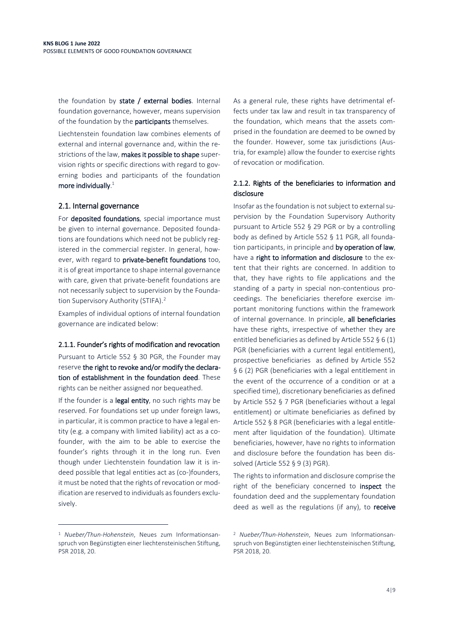the foundation by state / external bodies. Internal foundation governance, however, means supervision of the foundation by the **participants** themselves.

Liechtenstein foundation law combines elements of external and internal governance and, within the restrictions of the law, makes it possible to shape supervision rights or specific directions with regard to governing bodies and participants of the foundation more individually. $^1$ 

## 2.1. Internal governance

For deposited foundations, special importance must be given to internal governance. Deposited foundations are foundations which need not be publicly registered in the commercial register. In general, however, with regard to private-benefit foundations too, it is of great importance to shape internal governance with care, given that private-benefit foundations are not necessarily subject to supervision by the Foundation Supervisory Authority (STIFA).<sup>2</sup>

Examples of individual options of internal foundation governance are indicated below:

#### 2.1.1. Founder's rights of modification and revocation

Pursuant to Article 552 § 30 PGR, the Founder may reserve the right to revoke and/or modify the declaration of establishment in the foundation deed. These rights can be neither assigned nor bequeathed.

If the founder is a legal entity, no such rights may be reserved. For foundations set up under foreign laws, in particular, it is common practice to have a legal entity (e.g. a company with limited liability) act as a cofounder, with the aim to be able to exercise the founder's rights through it in the long run. Even though under Liechtenstein foundation law it is indeed possible that legal entities act as (co-)founders, it must be noted that the rights of revocation or modification are reserved to individuals as founders exclusively.

<sup>1</sup> *Nueber/Thun-Hohenstein*, Neues zum Informationsanspruch von Begünstigten einer liechtensteinischen Stiftung, PSR 2018, 20.

 $\overline{a}$ 

As a general rule, these rights have detrimental effects under tax law and result in tax transparency of the foundation, which means that the assets comprised in the foundation are deemed to be owned by the founder. However, some tax jurisdictions (Austria, for example) allow the founder to exercise rights of revocation or modification.

## 2.1.2. Rights of the beneficiaries to information and disclosure

Insofar as the foundation is not subject to external supervision by the Foundation Supervisory Authority pursuant to Article 552 § 29 PGR or by a controlling body as defined by Article 552 § 11 PGR, all foundation participants, in principle and by operation of law, have a right to information and disclosure to the extent that their rights are concerned. In addition to that, they have rights to file applications and the standing of a party in special non-contentious proceedings. The beneficiaries therefore exercise important monitoring functions within the framework of internal governance. In principle, all beneficiaries have these rights, irrespective of whether they are entitled beneficiaries as defined by Article 552 § 6 (1) PGR (beneficiaries with a current legal entitlement), prospective beneficiaries as defined by Article 552 § 6 (2) PGR (beneficiaries with a legal entitlement in the event of the occurrence of a condition or at a specified time), discretionary beneficiaries as defined by Article 552 § 7 PGR (beneficiaries without a legal entitlement) or ultimate beneficiaries as defined by Article 552 § 8 PGR (beneficiaries with a legal entitlement after liquidation of the foundation). Ultimate beneficiaries, however, have no rights to information and disclosure before the foundation has been dissolved (Article 552 § 9 (3) PGR).

The rights to information and disclosure comprise the right of the beneficiary concerned to inspect the foundation deed and the supplementary foundation deed as well as the regulations (if any), to receive

<sup>2</sup> *Nueber/Thun-Hohenstein*, Neues zum Informationsanspruch von Begünstigten einer liechtensteinischen Stiftung, PSR 2018, 20.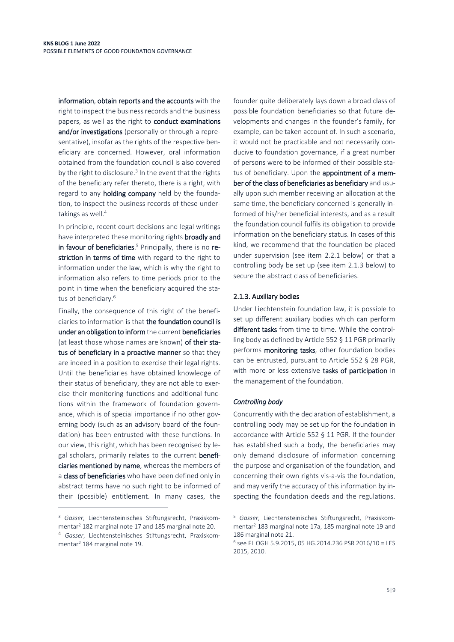information, obtain reports and the accounts with the right to inspect the business records and the business papers, as well as the right to conduct examinations and/or investigations (personally or through a representative), insofar as the rights of the respective beneficiary are concerned. However, oral information obtained from the foundation council is also covered by the right to disclosure.<sup>3</sup> In the event that the rights of the beneficiary refer thereto, there is a right, with regard to any holding company held by the foundation, to inspect the business records of these undertakings as well. 4

In principle, recent court decisions and legal writings have interpreted these monitoring rights broadly and in favour of beneficiaries. <sup>5</sup> Principally, there is no restriction in terms of time with regard to the right to information under the law, which is why the right to information also refers to time periods prior to the point in time when the beneficiary acquired the status of beneficiary.<sup>6</sup>

Finally, the consequence of this right of the beneficiaries to information is that the foundation council is under an obligation to inform the current beneficiaries (at least those whose names are known) of their status of beneficiary in a proactive manner so that they are indeed in a position to exercise their legal rights. Until the beneficiaries have obtained knowledge of their status of beneficiary, they are not able to exercise their monitoring functions and additional functions within the framework of foundation governance, which is of special importance if no other governing body (such as an advisory board of the foundation) has been entrusted with these functions. In our view, this right, which has been recognised by legal scholars, primarily relates to the current beneficiaries mentioned by name, whereas the members of a class of beneficiaries who have been defined only in abstract terms have no such right to be informed of their (possible) entitlement. In many cases, the

 $\overline{a}$ 

founder quite deliberately lays down a broad class of possible foundation beneficiaries so that future developments and changes in the founder's family, for example, can be taken account of. In such a scenario, it would not be practicable and not necessarily conducive to foundation governance, if a great number of persons were to be informed of their possible status of beneficiary. Upon the appointment of a member of the class of beneficiaries as beneficiary and usually upon such member receiving an allocation at the same time, the beneficiary concerned is generally informed of his/her beneficial interests, and as a result the foundation council fulfils its obligation to provide information on the beneficiary status. In cases of this kind, we recommend that the foundation be placed under supervision (see item 2.2.1 below) or that a controlling body be set up (see item 2.1.3 below) to secure the abstract class of beneficiaries.

### 2.1.3. Auxiliary bodies

Under Liechtenstein foundation law, it is possible to set up different auxiliary bodies which can perform different tasks from time to time. While the controlling body as defined by Article 552 § 11 PGR primarily performs monitoring tasks, other foundation bodies can be entrusted, pursuant to Article 552 § 28 PGR, with more or less extensive tasks of participation in the management of the foundation.

#### *Controlling body*

Concurrently with the declaration of establishment, a controlling body may be set up for the foundation in accordance with Article 552 § 11 PGR. If the founder has established such a body, the beneficiaries may only demand disclosure of information concerning the purpose and organisation of the foundation, and concerning their own rights vis-a-vis the foundation, and may verify the accuracy of this information by inspecting the foundation deeds and the regulations.

<sup>3</sup> *Gasser*, Liechtensteinisches Stiftungsrecht, Praxiskommentar<sup>2</sup> 182 marginal note 17 and 185 marginal note 20.

<sup>4</sup> *Gasser*, Liechtensteinisches Stiftungsrecht, Praxiskommentar<sup>2</sup> 184 marginal note 19.

<sup>5</sup> *Gasser*, Liechtensteinisches Stiftungsrecht, Praxiskommentar<sup>2</sup> 183 marginal note 17a, 185 marginal note 19 and 186 marginal note 21.

<sup>6</sup> see FL OGH 5.9.2015, 05 HG.2014.236 PSR 2016/10 = LES 2015, 2010.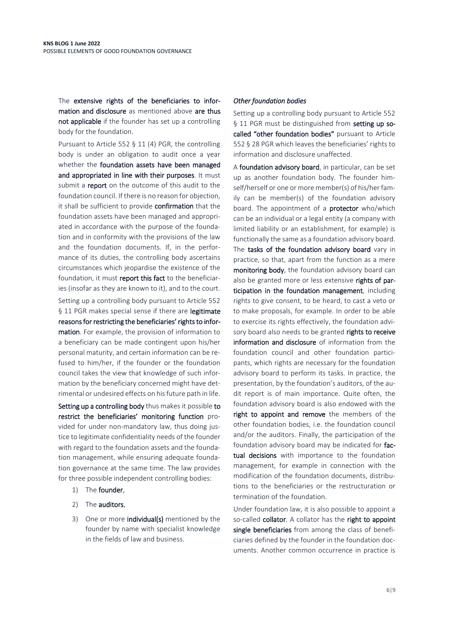The extensive rights of the beneficiaries to information and disclosure as mentioned above are thus not applicable if the founder has set up a controlling body for the foundation.

Pursuant to Article 552 § 11 (4) PGR, the controlling body is under an obligation to audit once a year whether the foundation assets have been managed and appropriated in line with their purposes. It must submit a **report** on the outcome of this audit to the foundation council. If there is no reason for objection, it shall be sufficient to provide confirmation that the foundation assets have been managed and appropriated in accordance with the purpose of the foundation and in conformity with the provisions of the law and the foundation documents. If, in the performance of its duties, the controlling body ascertains circumstances which jeopardise the existence of the foundation, it must report this fact to the beneficiaries (insofar as they are known to it), and to the court. Setting up a controlling body pursuant to Article 552 § 11 PGR makes special sense if there are legitimate reasons for restricting the beneficiaries' rights to information. For example, the provision of information to a beneficiary can be made contingent upon his/her personal maturity, and certain information can be re-

fused to him/her, if the founder or the foundation council takes the view that knowledge of such information by the beneficiary concerned might have detrimental or undesired effects on his future path in life.

Setting up a controlling body thus makes it possible to restrict the beneficiaries' monitoring function provided for under non-mandatory law, thus doing justice to legitimate confidentiality needs of the founder with regard to the foundation assets and the foundation management, while ensuring adequate foundation governance at the same time. The law provides for three possible independent controlling bodies:

- 1) The founder,
- 2) The auditors,
- 3) One or more **individual(s)** mentioned by the founder by name with specialist knowledge in the fields of law and business.

#### *Other foundation bodies*

Setting up a controlling body pursuant to Article 552 § 11 PGR must be distinguished from setting up socalled "other foundation bodies" pursuant to Article 552 § 28 PGR which leaves the beneficiaries' rights to information and disclosure unaffected.

A foundation advisory board, in particular, can be set up as another foundation body. The founder himself/herself or one or more member(s) of his/her family can be member(s) of the foundation advisory board. The appointment of a **protector** who/which can be an individual or a legal entity (a company with limited liability or an establishment, for example) is functionally the same as a foundation advisory board. The tasks of the foundation advisory board vary in practice, so that, apart from the function as a mere monitoring body, the foundation advisory board can also be granted more or less extensive rights of participation in the foundation management, including rights to give consent, to be heard, to cast a veto or to make proposals, for example. In order to be able to exercise its rights effectively, the foundation advisory board also needs to be granted rights to receive information and disclosure of information from the foundation council and other foundation participants, which rights are necessary for the foundation advisory board to perform its tasks. In practice, the presentation, by the foundation's auditors, of the audit report is of main importance. Quite often, the foundation advisory board is also endowed with the right to appoint and remove the members of the other foundation bodies, i.e. the foundation council and/or the auditors. Finally, the participation of the foundation advisory board may be indicated for factual decisions with importance to the foundation management, for example in connection with the modification of the foundation documents, distributions to the beneficiaries or the restructuration or termination of the foundation.

Under foundation law, it is also possible to appoint a so-called collator. A collator has the right to appoint single beneficiaries from among the class of beneficiaries defined by the founder in the foundation documents. Another common occurrence in practice is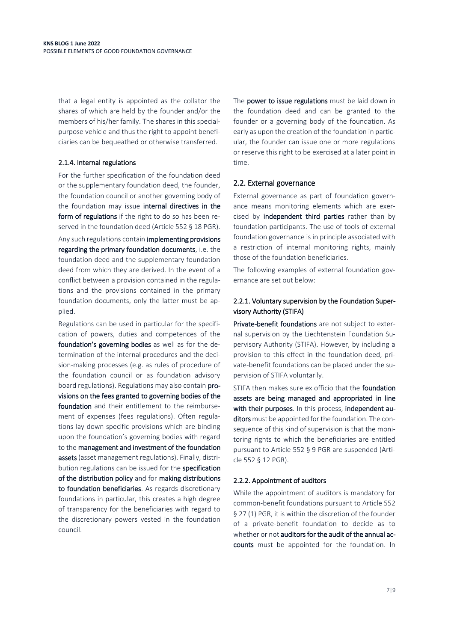that a legal entity is appointed as the collator the shares of which are held by the founder and/or the members of his/her family. The shares in this specialpurpose vehicle and thus the right to appoint beneficiaries can be bequeathed or otherwise transferred.

## 2.1.4. Internal regulations

For the further specification of the foundation deed or the supplementary foundation deed, the founder, the foundation council or another governing body of the foundation may issue internal directives in the form of regulations if the right to do so has been reserved in the foundation deed (Article 552 § 18 PGR).

Any such regulations contain implementing provisions regarding the primary foundation documents, i.e. the foundation deed and the supplementary foundation deed from which they are derived. In the event of a conflict between a provision contained in the regulations and the provisions contained in the primary foundation documents, only the latter must be applied.

Regulations can be used in particular for the specification of powers, duties and competences of the foundation's governing bodies as well as for the determination of the internal procedures and the decision-making processes (e.g. as rules of procedure of the foundation council or as foundation advisory board regulations). Regulations may also contain provisions on the fees granted to governing bodies of the foundation and their entitlement to the reimbursement of expenses (fees regulations). Often regulations lay down specific provisions which are binding upon the foundation's governing bodies with regard to the management and investment of the foundation assets (asset management regulations). Finally, distribution regulations can be issued for the specification of the distribution policy and for making distributions to foundation beneficiaries. As regards discretionary foundations in particular, this creates a high degree of transparency for the beneficiaries with regard to the discretionary powers vested in the foundation council.

The power to issue regulations must be laid down in the foundation deed and can be granted to the founder or a governing body of the foundation. As early as upon the creation of the foundation in particular, the founder can issue one or more regulations or reserve this right to be exercised at a later point in time.

## 2.2. External governance

External governance as part of foundation governance means monitoring elements which are exercised by **independent third parties** rather than by foundation participants. The use of tools of external foundation governance is in principle associated with a restriction of internal monitoring rights, mainly those of the foundation beneficiaries.

The following examples of external foundation governance are set out below:

## 2.2.1. Voluntary supervision by the Foundation Supervisory Authority (STIFA)

Private-benefit foundations are not subject to external supervision by the Liechtenstein Foundation Supervisory Authority (STIFA). However, by including a provision to this effect in the foundation deed, private-benefit foundations can be placed under the supervision of STIFA voluntarily.

STIFA then makes sure ex officio that the foundation assets are being managed and appropriated in line with their purposes. In this process, independent auditors must be appointed for the foundation. The consequence of this kind of supervision is that the monitoring rights to which the beneficiaries are entitled pursuant to Article 552 § 9 PGR are suspended (Article 552 § 12 PGR).

## 2.2.2. Appointment of auditors

While the appointment of auditors is mandatory for common-benefit foundations pursuant to Article 552 § 27 (1) PGR, it is within the discretion of the founder of a private-benefit foundation to decide as to whether or not auditors for the audit of the annual accounts must be appointed for the foundation. In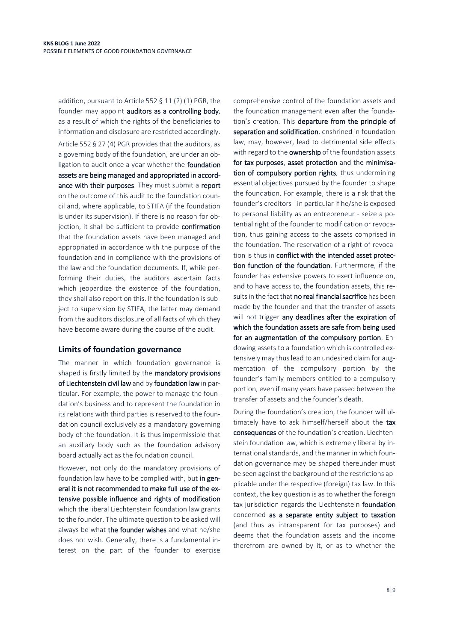addition, pursuant to Article 552 § 11 (2) (1) PGR, the founder may appoint auditors as a controlling body, as a result of which the rights of the beneficiaries to information and disclosure are restricted accordingly. Article 552 § 27 (4) PGR provides that the auditors, as a governing body of the foundation, are under an obligation to audit once a year whether the **foundation** assets are being managed and appropriated in accordance with their purposes. They must submit a report on the outcome of this audit to the foundation council and, where applicable, to STIFA (if the foundation is under its supervision). If there is no reason for objection, it shall be sufficient to provide confirmation that the foundation assets have been managed and appropriated in accordance with the purpose of the foundation and in compliance with the provisions of the law and the foundation documents. If, while performing their duties, the auditors ascertain facts which jeopardize the existence of the foundation, they shall also report on this. If the foundation is subject to supervision by STIFA, the latter may demand from the auditors disclosure of all facts of which they have become aware during the course of the audit.

## **Limits of foundation governance**

The manner in which foundation governance is shaped is firstly limited by the mandatory provisions of Liechtenstein civil law and by foundation law in particular. For example, the power to manage the foundation's business and to represent the foundation in its relations with third parties is reserved to the foundation council exclusively as a mandatory governing body of the foundation. It is thus impermissible that an auxiliary body such as the foundation advisory board actually act as the foundation council.

However, not only do the mandatory provisions of foundation law have to be complied with, but in general it is not recommended to make full use of the extensive possible influence and rights of modification which the liberal Liechtenstein foundation law grants to the founder. The ultimate question to be asked will always be what the founder wishes and what he/she does not wish. Generally, there is a fundamental interest on the part of the founder to exercise

comprehensive control of the foundation assets and the foundation management even after the foundation's creation. This departure from the principle of separation and solidification, enshrined in foundation law, may, however, lead to detrimental side effects with regard to the ownership of the foundation assets for tax purposes, asset protection and the minimisation of compulsory portion rights, thus undermining essential objectives pursued by the founder to shape the foundation. For example, there is a risk that the founder's creditors - in particular if he/she is exposed to personal liability as an entrepreneur - seize a potential right of the founder to modification or revocation, thus gaining access to the assets comprised in the foundation. The reservation of a right of revocation is thus in conflict with the intended asset protection function of the foundation. Furthermore, if the founder has extensive powers to exert influence on, and to have access to, the foundation assets, this results in the fact that no real financial sacrifice has been made by the founder and that the transfer of assets will not trigger any deadlines after the expiration of which the foundation assets are safe from being used for an augmentation of the compulsory portion. Endowing assets to a foundation which is controlled extensively may thus lead to an undesired claim for augmentation of the compulsory portion by the founder's family members entitled to a compulsory portion, even if many years have passed between the transfer of assets and the founder's death.

During the foundation's creation, the founder will ultimately have to ask himself/herself about the tax consequences of the foundation's creation. Liechtenstein foundation law, which is extremely liberal by international standards, and the manner in which foundation governance may be shaped thereunder must be seen against the background of the restrictions applicable under the respective (foreign) tax law. In this context, the key question is as to whether the foreign tax jurisdiction regards the Liechtenstein foundation concerned as a separate entity subject to taxation (and thus as intransparent for tax purposes) and deems that the foundation assets and the income therefrom are owned by it, or as to whether the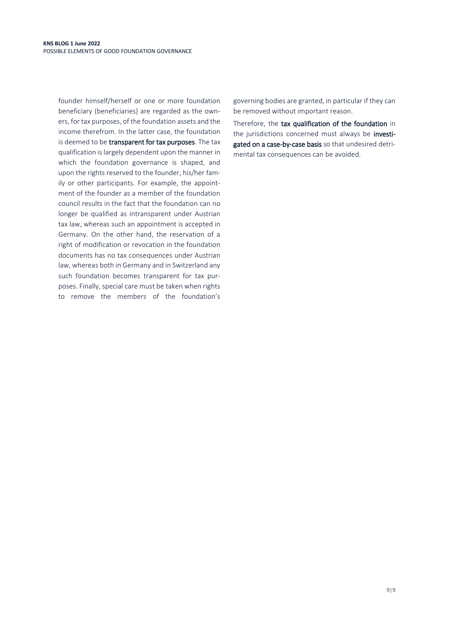founder himself/herself or one or more foundation beneficiary (beneficiaries) are regarded as the owners, for tax purposes, of the foundation assets and the income therefrom. In the latter case, the foundation is deemed to be transparent for tax purposes. The tax qualification is largely dependent upon the manner in which the foundation governance is shaped, and upon the rights reserved to the founder, his/her family or other participants. For example, the appointment of the founder as a member of the foundation council results in the fact that the foundation can no longer be qualified as intransparent under Austrian tax law, whereas such an appointment is accepted in Germany. On the other hand, the reservation of a right of modification or revocation in the foundation documents has no tax consequences under Austrian law, whereas both in Germany and in Switzerland any such foundation becomes transparent for tax purposes. Finally, special care must be taken when rights to remove the members of the foundation's governing bodies are granted, in particular if they can be removed without important reason.

Therefore, the tax qualification of the foundation in the jurisdictions concerned must always be investigated on a case-by-case basis so that undesired detrimental tax consequences can be avoided.